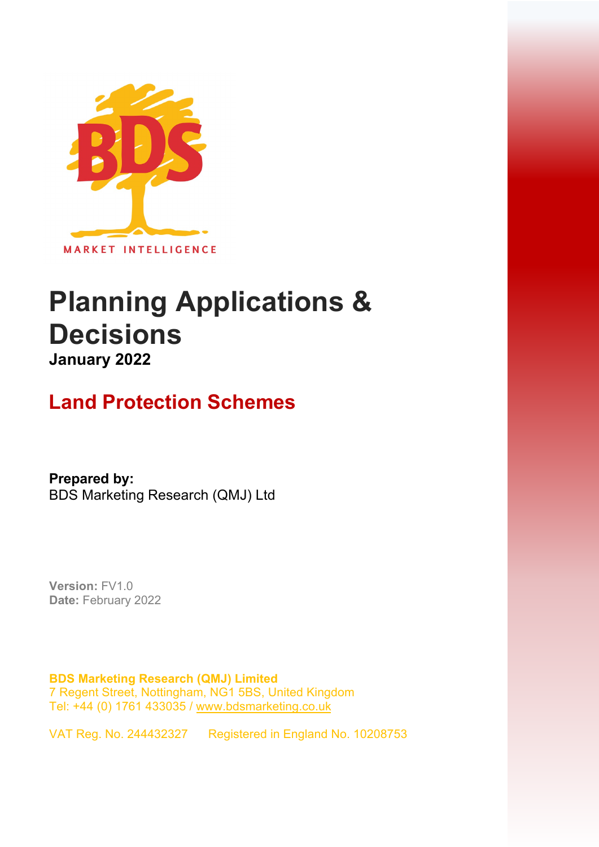

# **Planning Applications & Decisions January 2022**

## **Land Protection Schemes**

**Prepared by:**  BDS Marketing Research (QMJ) Ltd

**Version:** FV1.0 **Date:** February 2022

**BDS Marketing Research (QMJ) Limited**  7 Regent Street, Nottingham, NG1 5BS, United Kingdom Tel: +44 (0) 1761 433035 / [www.bdsmarketing.co.uk](http://www.bdsmarketing.co.uk/)

VAT Reg. No. 244432327 Registered in England No. 10208753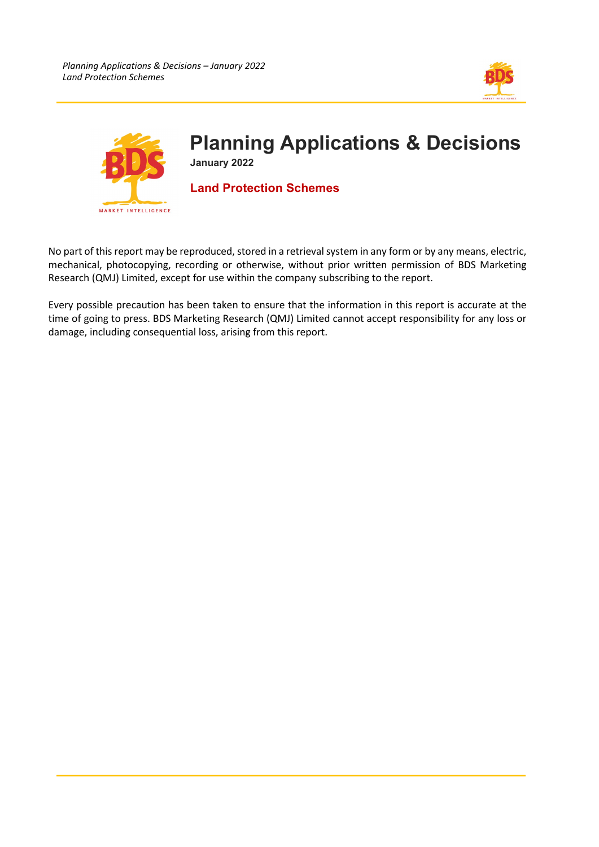



No part of this report may be reproduced, stored in a retrieval system in any form or by any means, electric, mechanical, photocopying, recording or otherwise, without prior written permission of BDS Marketing Research (QMJ) Limited, except for use within the company subscribing to the report.

Every possible precaution has been taken to ensure that the information in this report is accurate at the time of going to press. BDS Marketing Research (QMJ) Limited cannot accept responsibility for any loss or damage, including consequential loss, arising from this report.